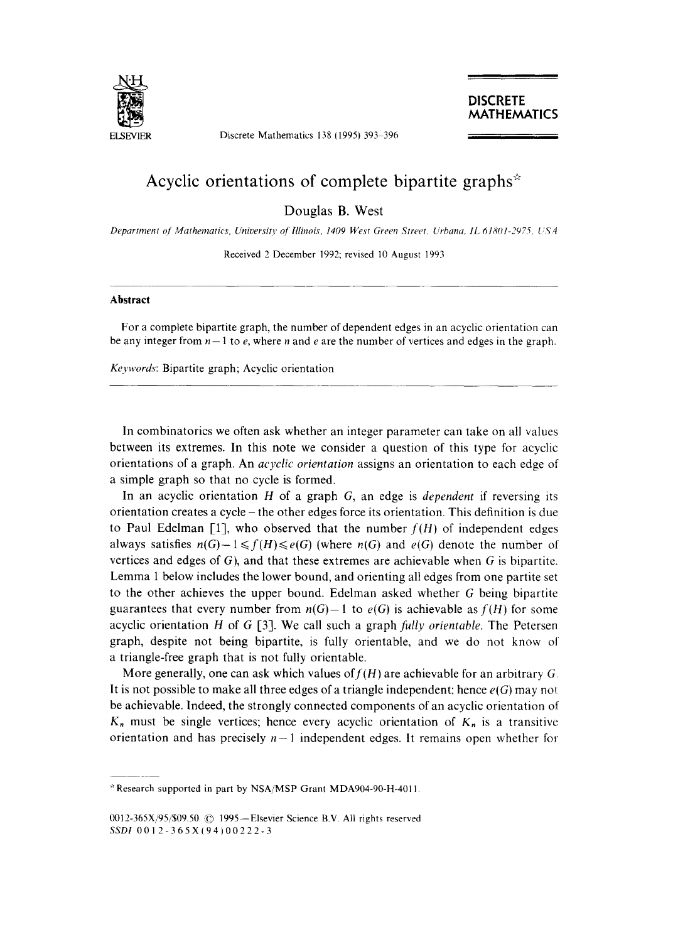

**ELSEVIER** Discrete Mathematics 138 (1995) 393-396

**DISCRETE MATHEMATICS** 

## **Acyclic orientations of complete bipartite graphs**

Douglas B. West

*Department c)[' Mathematics, University o[ lllinois, 1409 West Green Street. Urbana, IL 61801-2975. US4* 

Received 2 December 1992; revised 10 August 1993

## **Abstract**

For a complete bipartite graph, the number of dependent edges in an acyclic orientation can be any integer from  $n-1$  to e, where n and e are the number of vertices and edges in the graph.

*Ke3,words:* Bipartite graph; Acyclic orientation

In combinatorics we often ask whether an integer parameter can take on all values between its extremes. In this note we consider a question of this type for acyclic orientations of a graph. An *acyclic orientation* assigns an orientation to each edge of a simple graph so that no cycle is formed.

In an acyclic orientation H of a graph G, an edge is *dependent* if reversing its orientation creates a cycle - the other edges force its orientation. This definition is due to Paul Edelman [1], who observed that the number  $f(H)$  of independent edges always satisfies  $n(G)-1 \leq f(H) \leq e(G)$  (where  $n(G)$  and  $e(G)$  denote the number of vertices and edges of  $G$ ), and that these extremes are achievable when  $G$  is bipartite. Lemma 1 below includes the lower bound, and orienting all edges from one partite set to the other achieves the upper bound. Edelman asked whether G being bipartite guarantees that every number from  $n(G)-1$  to  $e(G)$  is achievable as  $f(H)$  for some acyclic orientation H of G [3]. We call such a graph *fully orientable.* The Petersen graph, despite not being bipartite, is fully orientable, and we do not know of a triangle-free graph that is not fully orientable.

More generally, one can ask which values of  $f(H)$  are achievable for an arbitrary G. It is not possible to make all three edges of a triangle independent; hence *e(G)* may not be achievable. Indeed, the strongly connected components of an acyclic orientation of  $K_n$  must be single vertices; hence every acyclic orientation of  $K_n$  is a transitive orientation and has precisely  $n-1$  independent edges. It remains open whether for

Research supported in part by NSA/MSP Grant MDA904-90-H-4011.

<sup>0012-365</sup>X/95/\$09.50 © 1995-Elsevier Science B.V. All rights reserved *SSDI* 0012-365X(94)00222-3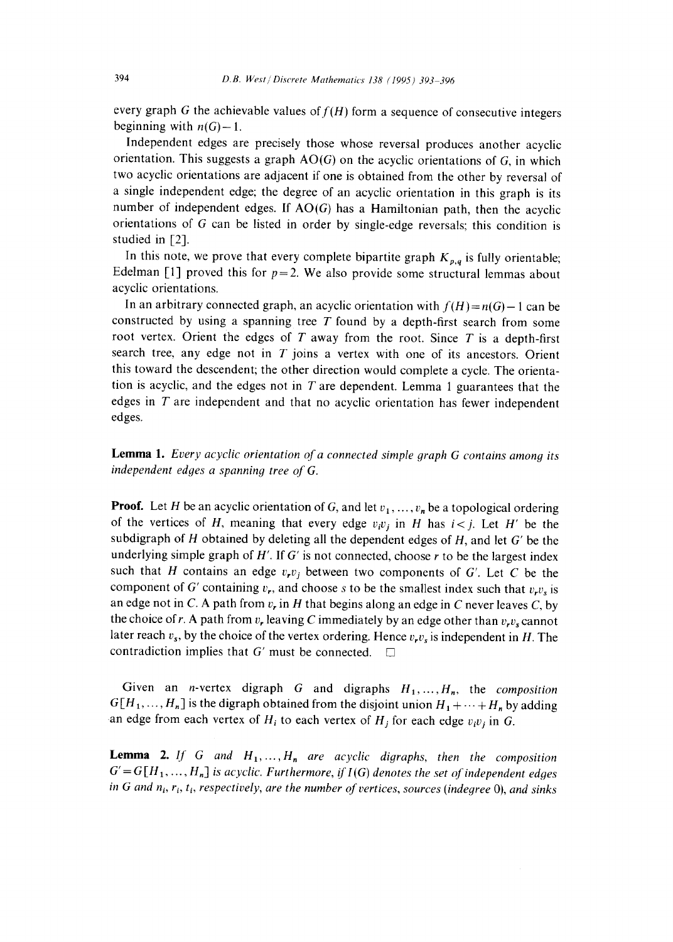every graph G the achievable values of  $f(H)$  form a sequence of consecutive integers beginning with  $n(G)-1$ .

Independent edges are precisely those whose reversal produces another acyclic orientation. This suggests a graph  $AO(G)$  on the acyclic orientations of G, in which two acyclic orientations are adjacent if one is obtained from the other by reversal of a single independent edge; the degree of an acyclic orientation in this graph is its number of independent edges. If  $AO(G)$  has a Hamiltonian path, then the acyclic orientations of G can be listed in order by single-edge reversals; this condition is studied in [2].

In this note, we prove that every complete bipartite graph  $K_{p,q}$  is fully orientable; Edelman [1] proved this for  $p=2$ . We also provide some structural lemmas about acyclic orientations.

In an arbitrary connected graph, an acyclic orientation with  $f(H) = n(G) - 1$  can be constructed by using a spanning tree  $T$  found by a depth-first search from some root vertex. Orient the edges of  $T$  away from the root. Since  $T$  is a depth-first search tree, any edge not in  $T$  joins a vertex with one of its ancestors. Orient this toward the descendent; the other direction would complete a cycle. The orientation is acyclic, and the edges not in  $T$  are dependent. Lemma 1 guarantees that the edges in  $T$  are independent and that no acyclic orientation has fewer independent edges.

**Lemma** 1. *Every acyclic orientation of a connected simple graph G contains among its independent edges a spanning tree of G.* 

**Proof.** Let H be an acyclic orientation of G, and let  $v_1, \ldots, v_n$  be a topological ordering of the vertices of H, meaning that every edge  $v_i v_j$  in H has  $i < j$ . Let H' be the subdigraph of  $H$  obtained by deleting all the dependent edges of  $H$ , and let  $G'$  be the underlying simple graph of  $H'$ . If  $G'$  is not connected, choose  $r$  to be the largest index such that H contains an edge  $v_r v_j$  between two components of G'. Let C be the component of G' containing  $v_r$ , and choose s to be the smallest index such that  $v_r v_s$  is an edge not in C. A path from  $v_r$  in H that begins along an edge in C never leaves C, by the choice of r. A path from  $v_r$  leaving C immediately by an edge other than  $v_r v_s$  cannot later reach  $v_s$ , by the choice of the vertex ordering. Hence  $v_r v_s$  is independent in H. The contradiction implies that G' must be connected.  $\square$ 

Given an n-vertex digraph G and digraphs *H1,...,H,,* the *composition*   $G[H_1, ..., H_n]$  is the digraph obtained from the disjoint union  $H_1 + \cdots + H_n$  by adding an edge from each vertex of  $H_i$  to each vertex of  $H_j$  for each edge  $v_i v_j$  in G.

**Lemma 2.** *If G and*  $H_1, \ldots, H_n$  are acyclic digraphs, then the composition  $G' = G[H_1, \ldots, H_n]$  is acyclic. Furthermore, if  $I(G)$  denotes the set of independent edges *in G and n<sub>i</sub>, r<sub>i</sub>, t<sub>i</sub>, respectively, are the number of vertices, sources (indegree 0), and sinks*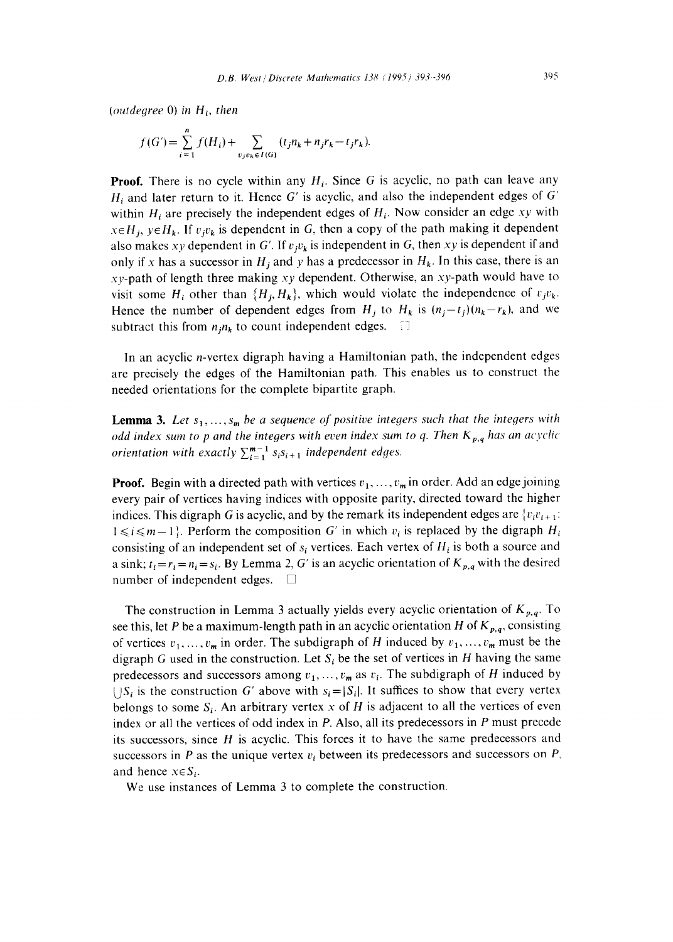*(outdegree O) in Hi, then* 

$$
f(G') = \sum_{i=1}^{n} f(H_i) + \sum_{v_j v_k \in I(G)} (t_j n_k + n_j r_k - t_j r_k).
$$

**Proof.** There is no cycle within any  $H_i$ . Since G is acyclic, no path can leave any  $H_i$  and later return to it. Hence G' is acyclic, and also the independent edges of G' within  $H_i$  are precisely the independent edges of  $H_i$ . Now consider an edge *xy* with  $x \in H_i$ ,  $y \in H_k$ . If  $v_j v_k$  is dependent in G, then a copy of the path making it dependent also makes *xy* dependent in G'. If  $v_jv_k$  is independent in G, then *xy* is dependent if and only if x has a successor in  $H_i$  and y has a predecessor in  $H_k$ . In this case, there is an  $xy$ -path of length three making  $xy$  dependent. Otherwise, an  $xy$ -path would have to visit some  $H_i$  other than  $\{H_i, H_k\}$ , which would violate the independence of  $r_jv_k$ . Hence the number of dependent edges from  $H_i$  to  $H_k$  is  $(n_i-t_j)(n_k-r_k)$ , and we subtract this from  $n_i n_k$  to count independent edges.

In an acyclic n-vertex digraph having a Hamiltonian path, the independent edges are precisely the edges of the Hamiltonian path. This enables us to construct the needed orientations for the complete bipartite graph.

**Lemma 3.** Let  $s_1, \ldots, s_m$  be a sequence of positive integers such that the integers with *odd index sum to p and the integers with even index sum to q. Then*  $K_{p,q}$  *has an acyclic orientation with exactly*  $\sum_{i=1}^{m-1} s_i s_{i+1}$  *independent edges.* 

**Proof.** Begin with a directed path with vertices  $v_1, \ldots, v_m$  in order. Add an edge joining every pair of vertices having indices with opposite parity, directed toward the higher indices. This digraph G is acyclic, and by the remark its independent edges are  ${v_i v_{i+1}}$ :  $1 \le i \le m-1$ . Perform the composition G' in which  $v_i$  is replaced by the digraph  $H_i$ consisting of an independent set of  $s_i$  vertices. Each vertex of  $H_i$  is both a source and a sink;  $t_i = r_i = n_i = s_i$ . By Lemma 2, G' is an acyclic orientation of  $K_{p,q}$  with the desired number of independent edges.  $\square$ 

The construction in Lemma 3 actually yields every acyclic orientation of  $K_{p,q}$ . To see this, let P be a maximum-length path in an acyclic orientation H of  $K_{p,q}$ , consisting of vertices  $v_1, \ldots, v_m$  in order. The subdigraph of H induced by  $v_1, \ldots, v_m$  must be the digraph G used in the construction. Let  $S_i$  be the set of vertices in H having the same predecessors and successors among  $v_1, \ldots, v_m$  as  $v_i$ . The subdigraph of H induced by  $\bigcup S_i$  is the construction G' above with  $s_i=|S_i|$ . It suffices to show that every vertex belongs to some  $S_i$ . An arbitrary vertex x of H is adjacent to all the vertices of even index or all the vertices of odd index in P. Also, all its predecessors in P must precede its successors, since  $H$  is acyclic. This forces it to have the same predecessors and successors in P as the unique vertex  $v_i$  between its predecessors and successors on P, and hence  $x \in S_i$ .

We use instances of Lemma 3 to complete the construction.